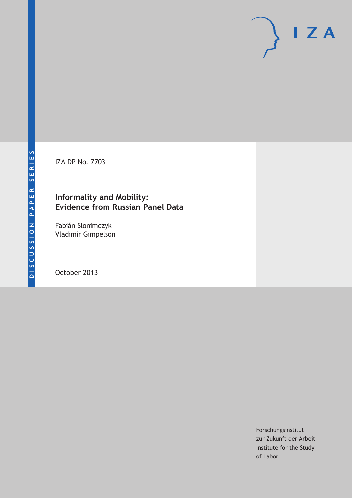IZA DP No. 7703

## **Informality and Mobility: Evidence from Russian Panel Data**

Fabián Slonimczyk Vladimir Gimpelson

October 2013

Forschungsinstitut zur Zukunft der Arbeit Institute for the Study of Labor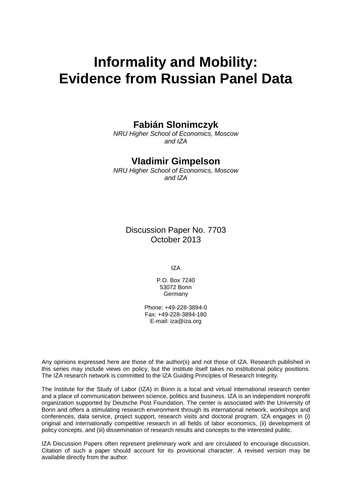# **Informality and Mobility: Evidence from Russian Panel Data**

# **Fabián Slonimczyk**

*NRU Higher School of Economics, Moscow and IZA*

## **Vladimir Gimpelson**

*NRU Higher School of Economics, Moscow and IZA*

Discussion Paper No. 7703 October 2013

IZA

P.O. Box 7240 53072 Bonn **Germany** 

Phone: +49-228-3894-0 Fax: +49-228-3894-180 E-mail: [iza@iza.org](mailto:iza@iza.org)

Any opinions expressed here are those of the author(s) and not those of IZA. Research published in this series may include views on policy, but the institute itself takes no institutional policy positions. The IZA research network is committed to the IZA Guiding Principles of Research Integrity.

The Institute for the Study of Labor (IZA) in Bonn is a local and virtual international research center and a place of communication between science, politics and business. IZA is an independent nonprofit organization supported by Deutsche Post Foundation. The center is associated with the University of Bonn and offers a stimulating research environment through its international network, workshops and conferences, data service, project support, research visits and doctoral program. IZA engages in (i) original and internationally competitive research in all fields of labor economics, (ii) development of policy concepts, and (iii) dissemination of research results and concepts to the interested public.

<span id="page-1-0"></span>IZA Discussion Papers often represent preliminary work and are circulated to encourage discussion. Citation of such a paper should account for its provisional character. A revised version may be available directly from the author.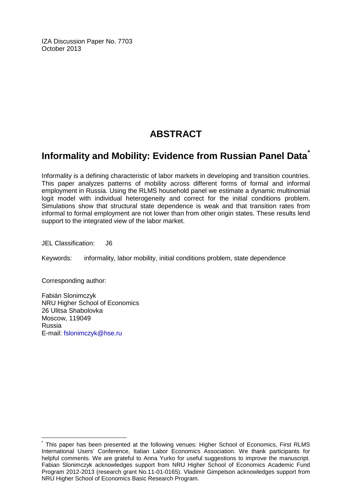IZA Discussion Paper No. 7703 October 2013

# **ABSTRACT**

# **Informality and Mobility: Evidence from Russian Panel Data[\\*](#page-1-0)**

Informality is a defining characteristic of labor markets in developing and transition countries. This paper analyzes patterns of mobility across different forms of formal and informal employment in Russia. Using the RLMS household panel we estimate a dynamic multinomial logit model with individual heterogeneity and correct for the initial conditions problem. Simulations show that structural state dependence is weak and that transition rates from informal to formal employment are not lower than from other origin states. These results lend support to the integrated view of the labor market.

JEL Classification: J6

Keywords: informality, labor mobility, initial conditions problem, state dependence

Corresponding author:

Fabián Slonimczyk NRU Higher School of Economics 26 Ulitsa Shabolovka Moscow, 119049 Russia E-mail: [fslonimczyk@hse.ru](mailto:fslonimczyk@hse.ru)

This paper has been presented at the following venues: Higher School of Economics, First RLMS International Users' Conference, Italian Labor Economics Association. We thank participants for helpful comments. We are grateful to Anna Yurko for useful suggestions to improve the manuscript. Fabian Slonimczyk acknowledges support from NRU Higher School of Economics Academic Fund Program 2012-2013 (research grant No.11-01-0165). Vladimir Gimpelson acknowledges support from NRU Higher School of Economics Basic Research Program.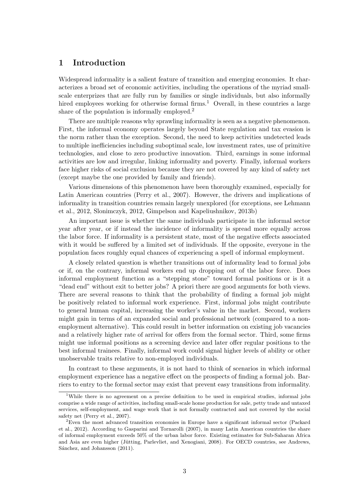#### 1 Introduction

Widespread informality is a salient feature of transition and emerging economies. It characterizes a broad set of economic activities, including the operations of the myriad smallscale enterprizes that are fully run by families or single individuals, but also informally hired employees working for otherwise formal firms.<sup>1</sup> Overall, in these countries a large share of the population is informally employed.<sup>2</sup>

There are multiple reasons why sprawling informality is seen as a negative phenomenon. First, the informal economy operates largely beyond State regulation and tax evasion is the norm rather than the exception. Second, the need to keep activities undetected leads to multiple inefficiencies including suboptimal scale, low investment rates, use of primitive technologies, and close to zero productive innovation. Third, earnings in some informal activities are low and irregular, linking informality and poverty. Finally, informal workers face higher risks of social exclusion because they are not covered by any kind of safety net (except maybe the one provided by family and friends).

Various dimensions of this phenomenon have been thoroughly examined, especially for Latin American countries (Perry et al., 2007). However, the drivers and implications of informality in transition countries remain largely unexplored (for exceptions, see Lehmann et al., 2012, Slonimczyk, 2012, Gimpelson and Kapeliushnikov, 2013b)

An important issue is whether the same individuals participate in the informal sector year after year, or if instead the incidence of informality is spread more equally across the labor force. If informality is a persistent state, most of the negative effects associated with it would be suffered by a limited set of individuals. If the opposite, everyone in the population faces roughly equal chances of experiencing a spell of informal employment.

A closely related question is whether transitions out of informality lead to formal jobs or if, on the contrary, informal workers end up dropping out of the labor force. Does informal employment function as a "stepping stone" toward formal positions or is it a "dead end" without exit to better jobs? A priori there are good arguments for both views. There are several reasons to think that the probability of finding a formal job might be positively related to informal work experience. First, informal jobs might contribute to general human capital, increasing the worker's value in the market. Second, workers might gain in terms of an expanded social and professional network (compared to a nonemployment alternative). This could result in better information on existing job vacancies and a relatively higher rate of arrival for offers from the formal sector. Third, some firms might use informal positions as a screening device and later offer regular positions to the best informal trainees. Finally, informal work could signal higher levels of ability or other unobservable traits relative to non-employed individuals.

In contrast to these arguments, it is not hard to think of scenarios in which informal employment experience has a negative effect on the prospects of finding a formal job. Barriers to entry to the formal sector may exist that prevent easy transitions from informality.

<sup>&</sup>lt;sup>1</sup>While there is no agreement on a precise definition to be used in empirical studies, informal jobs comprise a wide range of activities, including small-scale home production for sale, petty trade and untaxed services, self-employment, and wage work that is not formally contracted and not covered by the social safety net (Perry et al., 2007).

<sup>2</sup>Even the most advanced transition economies in Europe have a significant informal sector (Packard et al., 2012). According to Gasparini and Tornarolli (2007), in many Latin American countries the share of informal employment exceeds 50% of the urban labor force. Existing estimates for Sub-Saharan Africa and Asia are even higher (Jütting, Parlevliet, and Xenogiani, 2008). For OECD countries, see Andrews, Sánchez, and Johansson (2011).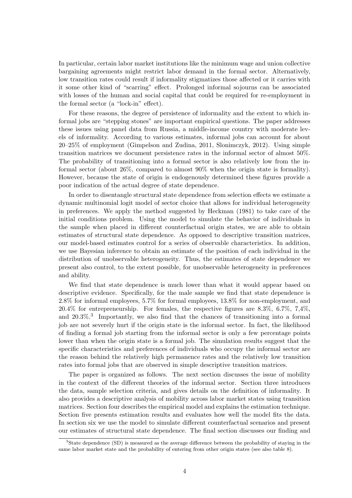In particular, certain labor market institutions like the minimum wage and union collective bargaining agreements might restrict labor demand in the formal sector. Alternatively, low transition rates could result if informality stigmatizes those affected or it carries with it some other kind of "scarring" effect. Prolonged informal sojourns can be associated with losses of the human and social capital that could be required for re-employment in the formal sector (a "lock-in" effect).

For these reasons, the degree of persistence of informality and the extent to which informal jobs are "stepping stones" are important empirical questions. The paper addresses these issues using panel data from Russia, a middle-income country with moderate levels of informality. According to various estimates, informal jobs can account for about 20–25% of employment (Gimpelson and Zudina, 2011, Slonimczyk, 2012). Using simple transition matrices we document persistence rates in the informal sector of almost 50%. The probability of transitioning into a formal sector is also relatively low from the informal sector (about 26%, compared to almost 90% when the origin state is formality). However, because the state of origin is endogenously determined these figures provide a poor indication of the actual degree of state dependence.

In order to disentangle structural state dependence from selection effects we estimate a dynamic multinomial logit model of sector choice that allows for individual heterogeneity in preferences. We apply the method suggested by Heckman (1981) to take care of the initial conditions problem. Using the model to simulate the behavior of individuals in the sample when placed in different counterfactual origin states, we are able to obtain estimates of structural state dependence. As opposed to descriptive transition matrices, our model-based estimates control for a series of observable characteristics. In addition, we use Bayesian inference to obtain an estimate of the position of each individual in the distribution of unobservable heterogeneity. Thus, the estimates of state dependence we present also control, to the extent possible, for unobservable heterogeneity in preferences and ability.

We find that state dependence is much lower than what it would appear based on descriptive evidence. Specifically, for the male sample we find that state dependence is 2.8% for informal employees, 5.7% for formal employees, 13.8% for non-employment, and 20.4% for entrepreneurship. For females, the respective figures are 8.3%, 6.7%, 7,4%, and 20.3%.<sup>3</sup> Importantly, we also find that the chances of transitioning into a formal job are not severely hurt if the origin state is the informal sector. In fact, the likelihood of finding a formal job starting from the informal sector is only a few percentage points lower than when the origin state is a formal job. The simulation results suggest that the specific characteristics and preferences of individuals who occupy the informal sector are the reason behind the relatively high permanence rates and the relatively low transition rates into formal jobs that are observed in simple descriptive transition matrices.

The paper is organized as follows. The next section discusses the issue of mobility in the context of the different theories of the informal sector. Section three introduces the data, sample selection criteria, and gives details on the definition of informality. It also provides a descriptive analysis of mobility across labor market states using transition matrices. Section four describes the empirical model and explains the estimation technique. Section five presents estimation results and evaluates how well the model fits the data. In section six we use the model to simulate different counterfactual scenarios and present our estimates of structural state dependence. The final section discusses our finding and

<sup>3</sup>State dependence (SD) is measured as the average difference between the probability of staying in the same labor market state and the probability of entering from other origin states (see also table 8).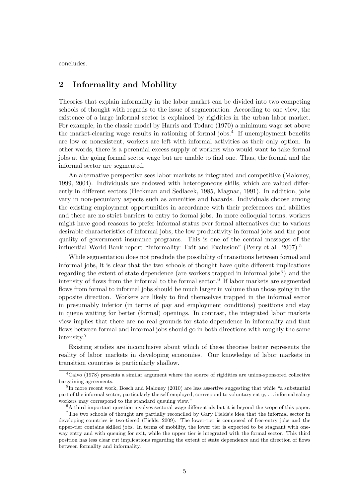concludes.

### 2 Informality and Mobility

Theories that explain informality in the labor market can be divided into two competing schools of thought with regards to the issue of segmentation. According to one view, the existence of a large informal sector is explained by rigidities in the urban labor market. For example, in the classic model by Harris and Todaro (1970) a minimum wage set above the market-clearing wage results in rationing of formal jobs.<sup>4</sup> If unemployment benefits are low or nonexistent, workers are left with informal activities as their only option. In other words, there is a perennial excess supply of workers who would want to take formal jobs at the going formal sector wage but are unable to find one. Thus, the formal and the informal sector are segmented.

An alternative perspective sees labor markets as integrated and competitive (Maloney, 1999, 2004). Individuals are endowed with heterogeneous skills, which are valued differently in different sectors (Heckman and Sedlacek, 1985, Magnac, 1991). In addition, jobs vary in non-pecuniary aspects such as amenities and hazards. Individuals choose among the existing employment opportunities in accordance with their preferences and abilities and there are no strict barriers to entry to formal jobs. In more colloquial terms, workers might have good reasons to prefer informal status over formal alternatives due to various desirable characteristics of informal jobs, the low productivity in formal jobs and the poor quality of government insurance programs. This is one of the central messages of the influential World Bank report "Informality: Exit and Exclusion" (Perry et al.,  $2007$ ).<sup>5</sup>

While segmentation does not preclude the possibility of transitions between formal and informal jobs, it is clear that the two schools of thought have quite different implications regarding the extent of state dependence (are workers trapped in informal jobs?) and the intensity of flows from the informal to the formal sector.<sup>6</sup> If labor markets are segmented flows from formal to informal jobs should be much larger in volume than those going in the opposite direction. Workers are likely to find themselves trapped in the informal sector in presumably inferior (in terms of pay and employment conditions) positions and stay in queue waiting for better (formal) openings. In contrast, the integrated labor markets view implies that there are no real grounds for state dependence in informality and that flows between formal and informal jobs should go in both directions with roughly the same intensity.<sup>7</sup>

Existing studies are inconclusive about which of these theories better represents the reality of labor markets in developing economies. Our knowledge of labor markets in transition countries is particularly shallow.

<sup>4</sup>Calvo (1978) presents a similar argument where the source of rigidities are union-sponsored collective bargaining agreements.

<sup>&</sup>lt;sup>5</sup>In more recent work, Bosch and Maloney (2010) are less assertive suggesting that while "a substantial part of the informal sector, particularly the self-employed, correspond to voluntary entry, . . . informal salary workers may correspond to the standard queuing view."

 ${}^6A$  third important question involves sectoral wage differentials but it is beyond the scope of this paper.

<sup>&</sup>lt;sup>7</sup>The two schools of thought are partially reconciled by Gary Fields's idea that the informal sector in developing countries is two-tiered (Fields, 2009). The lower-tier is composed of free-entry jobs and the upper-tier contains skilled jobs. In terms of mobility, the lower tier is expected to be stagnant with oneway entry and with queuing for exit, while the upper tier is integrated with the formal sector. This third position has less clear cut implications regarding the extent of state dependence and the direction of flows between formality and informality.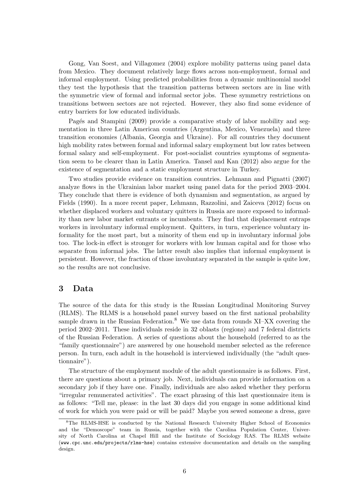Gong, Van Soest, and Villagomez (2004) explore mobility patterns using panel data from Mexico. They document relatively large flows across non-employment, formal and informal employment. Using predicted probabilities from a dynamic multinomial model they test the hypothesis that the transition patterns between sectors are in line with the symmetric view of formal and informal sector jobs. These symmetry restrictions on transitions between sectors are not rejected. However, they also find some evidence of entry barriers for low educated individuals.

Pagés and Stampini (2009) provide a comparative study of labor mobility and segmentation in three Latin American countries (Argentina, Mexico, Venezuela) and three transition economies (Albania, Georgia and Ukraine). For all countries they document high mobility rates between formal and informal salary employment but low rates between formal salary and self-employment. For post-socialist countries symptoms of segmentation seem to be clearer than in Latin America. Tansel and Kan (2012) also argue for the existence of segmentation and a static employment structure in Turkey.

Two studies provide evidence on transition countries. Lehmann and Pignatti (2007) analyze flows in the Ukrainian labor market using panel data for the period 2003–2004. They conclude that there is evidence of both dynamism and segmentation, as argued by Fields (1990). In a more recent paper, Lehmann, Razzolini, and Zaiceva (2012) focus on whether displaced workers and voluntary quitters in Russia are more exposed to informality than new labor market entrants or incumbents. They find that displacement entraps workers in involuntary informal employment. Quitters, in turn, experience voluntary informality for the most part, but a minority of them end up in involuntary informal jobs too. The lock-in effect is stronger for workers with low human capital and for those who separate from informal jobs. The latter result also implies that informal employment is persistent. However, the fraction of those involuntary separated in the sample is quite low, so the results are not conclusive.

#### 3 Data

The source of the data for this study is the Russian Longitudinal Monitoring Survey (RLMS). The RLMS is a household panel survey based on the first national probability sample drawn in the Russian Federation.<sup>8</sup> We use data from rounds  $XI-XX$  covering the period 2002–2011. These individuals reside in 32 oblasts (regions) and 7 federal districts of the Russian Federation. A series of questions about the household (referred to as the "family questionnaire") are answered by one household member selected as the reference person. In turn, each adult in the household is interviewed individually (the "adult questionnaire").

The structure of the employment module of the adult questionnaire is as follows. First, there are questions about a primary job. Next, individuals can provide information on a secondary job if they have one. Finally, individuals are also asked whether they perform "irregular remunerated activities". The exact phrasing of this last questionnaire item is as follows: "Tell me, please: in the last 30 days did you engage in some additional kind of work for which you were paid or will be paid? Maybe you sewed someone a dress, gave

<sup>8</sup>The RLMS-HSE is conducted by the National Research University Higher School of Economics and the "Demoscope" team in Russia, together with the Carolina Population Center, University of North Carolina at Chapel Hill and the Institute of Sociology RAS. The RLMS website (www.cpc.unc.edu/projects/rlms-hse) contains extensive documentation and details on the sampling design.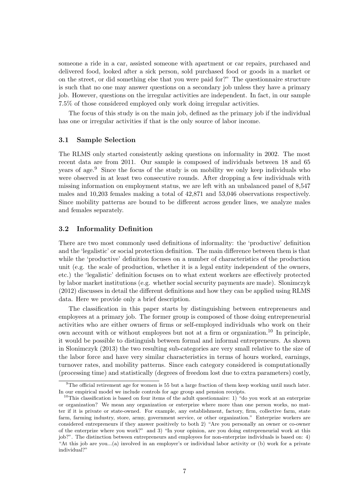someone a ride in a car, assisted someone with apartment or car repairs, purchased and delivered food, looked after a sick person, sold purchased food or goods in a market or on the street, or did something else that you were paid for?" The questionnaire structure is such that no one may answer questions on a secondary job unless they have a primary job. However, questions on the irregular activities are independent. In fact, in our sample 7.5% of those considered employed only work doing irregular activities.

The focus of this study is on the main job, defined as the primary job if the individual has one or irregular activities if that is the only source of labor income.

#### 3.1 Sample Selection

The RLMS only started consistently asking questions on informality in 2002. The most recent data are from 2011. Our sample is composed of individuals between 18 and 65 years of age.<sup>9</sup> Since the focus of the study is on mobility we only keep individuals who were observed in at least two consecutive rounds. After dropping a few individuals with missing information on employment status, we are left with an unbalanced panel of 8,547 males and 10,203 females making a total of 42,871 and 53,046 observations respectively. Since mobility patterns are bound to be different across gender lines, we analyze males and females separately.

#### 3.2 Informality Definition

There are two most commonly used definitions of informality: the 'productive' definition and the 'legalistic' or social protection definition. The main difference between them is that while the 'productive' definition focuses on a number of characteristics of the production unit (e.g. the scale of production, whether it is a legal entity independent of the owners, etc.) the 'legalistic' definition focuses on to what extent workers are effectively protected by labor market institutions (e.g. whether social security payments are made). Slonimczyk (2012) discusses in detail the different definitions and how they can be applied using RLMS data. Here we provide only a brief description.

The classification in this paper starts by distinguishing between entrepreneurs and employees at a primary job. The former group is composed of those doing entrepreneurial activities who are either owners of firms or self-employed individuals who work on their own account with or without employees but not at a firm or organization.<sup>10</sup> In principle, it would be possible to distinguish between formal and informal entrepreneurs. As shown in Slonimczyk (2013) the two resulting sub-categories are very small relative to the size of the labor force and have very similar characteristics in terms of hours worked, earnings, turnover rates, and mobility patterns. Since each category considered is computationally (processing time) and statistically (degrees of freedom lost due to extra parameters) costly,

<sup>9</sup>The official retirement age for women is 55 but a large fraction of them keep working until much later. In our empirical model we include controls for age group and pension receipts.

<sup>&</sup>lt;sup>10</sup>This classification is based on four items of the adult questionnaire: 1) "do you work at an enterprize or organization? We mean any organization or enterprize where more than one person works, no matter if it is private or state-owned. For example, any establishment, factory, firm, collective farm, state farm, farming industry, store, army, government service, or other organization." Enterprize workers are considered entrepreneurs if they answer positively to both 2) "Are you personally an owner or co-owner of the enterprize where you work?" and 3) "In your opinion, are you doing entrepreneurial work at this job?". The distinction between entrepreneurs and employees for non-enterprize individuals is based on: 4) "At this job are you...(a) involved in an employer's or individual labor activity or (b) work for a private individual?"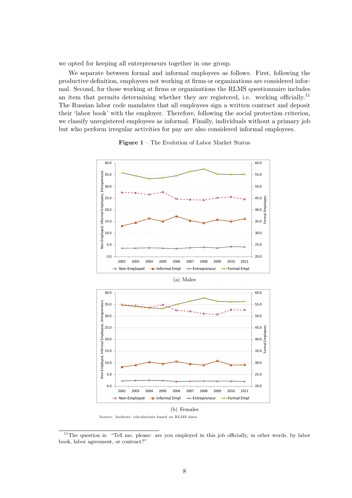we opted for keeping all entrepreneurs together in one group.

We separate between formal and informal employees as follows. First, following the productive definition, employees not working at firms or organizations are considered informal. Second, for those working at firms or organizations the RLMS questionnaire includes an item that permits determining whether they are registered, i.e. working officially.<sup>11</sup> The Russian labor code mandates that all employees sign a written contract and deposit their 'labor book' with the employer. Therefore, following the social protection criterion, we classify unregistered employees as informal. Finally, individuals without a primary job but who perform irregular activities for pay are also considered informal employees.



Figure 1 – The Evolution of Labor Market Status

Source: Authors' calculations based on RLMS data.

<sup>&</sup>lt;sup>11</sup>The question is: "Tell me, please: are you employed in this job officially, in other words, by labor book, labor agreement, or contract?"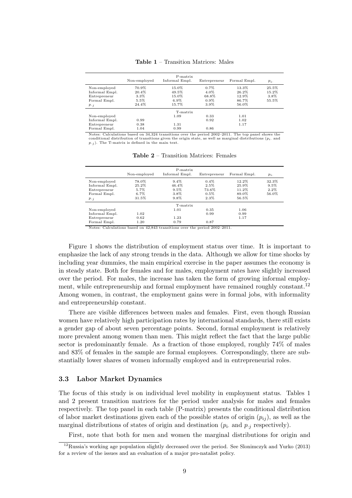|                | Non-employed | P-matrix<br>Informal Empl. | Entrepreneur | Formal Empl. | $p_i$ . |
|----------------|--------------|----------------------------|--------------|--------------|---------|
| Non-employed   | 70.9%        | 15.0%                      | $0.7\%$      | 13.3%        | 25.5%   |
| Informal Empl. | 20.4%        | 49.5%                      | 4.0%         | 26.2%        | 15.2%   |
| Entrepreneur   | $3.3\%$      | 15.0%                      | 68.8%        | 12.9%        | 3.8%    |
| Formal Empl.   | 5.5%         | $6.9\%$                    | $0.9\%$      | 86.7%        | 55.5%   |
| $p_{\cdot i}$  | 24.4%        | 15.7%                      | 3.9%         | 56.0%        |         |
|                |              | T-matrix                   |              |              |         |
| Non-employed   |              | 1.09                       | 0.33         | 1.01         |         |
| Informal Empl. | 0.99         |                            | 0.92         | 1.02         |         |
| Entrepreneur   | 0.38         | 1.31                       |              | 1.17         |         |
| Formal Empl.   | 1.04         | 0.99                       | 0.86         |              |         |

Table 1 – Transition Matrices: Males

Calculations based on 34,324 transitions over the period 2002–2011. The top panel shows the conditional distribution of transitions given the origin state, as well as marginal distributions ( $p_i$ ) and  $p_{\cdot j}$ ). The T-matrix is defined in the main text.

|                |              | P-matrix       |              |              |         |
|----------------|--------------|----------------|--------------|--------------|---------|
|                | Non-employed | Informal Empl. | Entrepreneur | Formal Empl. | $p_i$ . |
| Non-employed   | 78.0%        | $9.4\%$        | $0.4\%$      | 12.2%        | 32.3%   |
| Informal Empl. | 25.2%        | 46.4%          | 2.5%         | 25.9%        | $9.5\%$ |
| Entrepreneur   | 5.7%         | $9.5\%$        | 73.6%        | 11.2%        | $2.2\%$ |
| Formal Empl.   | $6.7\%$      | 3.8%           | $0.5\%$      | 89.0%        | 56.0%   |
| $p_{\cdot i}$  | 31.5%        | 9.8%           | $2.3\%$      | 56.5%        |         |
|                |              | T-matrix       |              |              |         |
| Non-employed   |              | 1.01           | 0.35         | 1.06         |         |
| Informal Empl. | 1.02         |                | 0.99         | 0.99         |         |
| Entrepreneur   | 0.62         | 1.23           |              | 1.17         |         |
| Formal Empl.   | 1.20         | 0.79           | 0.87         |              |         |

Table 2 – Transition Matrices: Females

Notes: Calculations based on 42,843 transitions over the period 2002–2011.

Figure 1 shows the distribution of employment status over time. It is important to emphasize the lack of any strong trends in the data. Although we allow for time shocks by including year dummies, the main empirical exercise in the paper assumes the economy is in steady state. Both for females and for males, employment rates have slightly increased over the period. For males, the increase has taken the form of growing informal employment, while entrepreneurship and formal employment have remained roughly constant.<sup>12</sup> Among women, in contrast, the employment gains were in formal jobs, with informality and entrepreneurship constant.

There are visible differences between males and females. First, even though Russian women have relatively high participation rates by international standards, there still exists a gender gap of about seven percentage points. Second, formal employment is relatively more prevalent among women than men. This might reflect the fact that the large public sector is predominantly female. As a fraction of those employed, roughly 74% of males and 83% of females in the sample are formal employees. Correspondingly, there are substantially lower shares of women informally employed and in entrepreneurial roles.

#### 3.3 Labor Market Dynamics

The focus of this study is on individual level mobility in employment status. Tables 1 and 2 present transition matrices for the period under analysis for males and females respectively. The top panel in each table (P-matrix) presents the conditional distribution of labor market destinations given each of the possible states of origin  $(p_{ij})$ , as well as the marginal distributions of states of origin and destination  $(p_i$  and  $p_{i,j}$  respectively).

First, note that both for men and women the marginal distributions for origin and

<sup>12</sup>Russia's working age population slightly decreased over the period. See Slonimczyk and Yurko (2013) for a review of the issues and an evaluation of a major pro-natalist policy.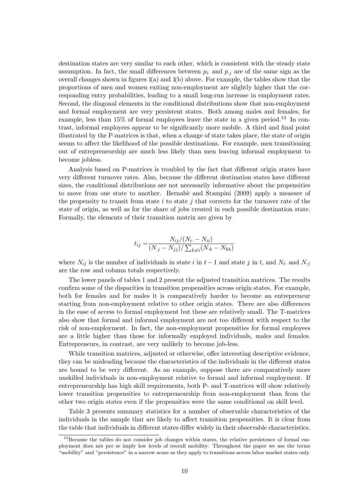destination states are very similar to each other, which is consistent with the steady state assumption. In fact, the small differences between  $p_i$  and  $p_i$  are of the same sign as the overall changes shown in figures  $1(a)$  and  $1(b)$  above. For example, the tables show that the proportions of men and women exiting non-employment are slightly higher that the corresponding entry probabilities, leading to a small long-run increase in employment rates. Second, the diagonal elements in the conditional distributions show that non-employment and formal employment are very persistent states. Both among males and females, for example, less than  $15\%$  of formal employees leave the state in a given period.<sup>13</sup> In contrast, informal employees appear to be significantly more mobile. A third and final point illustrated by the P-matrices is that, when a change of state takes place, the state of origin seems to affect the likelihood of the possible destinations. For example, men transitioning out of entrepreneurship are much less likely than men leaving informal employment to become jobless.

Analysis based on P-matrices is troubled by the fact that different origin states have very different turnover rates. Also, because the different destination states have different sizes, the conditional distributions are not necessarily informative about the propensities to move from one state to another. Bernab`e and Stampini (2009) apply a measure of the propensity to transit from state  $i$  to state  $j$  that corrects for the turnover rate of the state of origin, as well as for the share of jobs created in each possible destination state. Formally, the elements of their transition matrix are given by

$$
t_{ij} = \frac{N_{ij}/(N_i - N_{ii})}{(N_{\cdot j} - N_{jj})/\sum_{k \neq i}(N_{\cdot k} - N_{kk})}
$$

where  $N_{ij}$  is the number of individuals in state i in  $t-1$  and state j in t, and  $N_i$  and  $N_{\cdot j}$ are the row and column totals respectively.

The lower panels of tables 1 and 2 present the adjusted transition matrices. The results confirm some of the disparities in transition propensities across origin states. For example, both for females and for males it is comparatively harder to become an entrepreneur starting from non-employment relative to other origin states. There are also differences in the ease of access to formal employment but these are relatively small. The T-matrices also show that formal and informal employment are not too different with respect to the risk of non-employment. In fact, the non-employment propensities for formal employees are a little higher than those for informally employed individuals, males and females. Entrepreneurs, in contrast, are very unlikely to become job-less.

While transition matrices, adjusted or otherwise, offer interesting descriptive evidence, they can be misleading because the characteristics of the individuals in the different states are bound to be very different. As an example, suppose there are comparatively more unskilled individuals in non-employment relative to formal and informal employment. If entrepreneurship has high skill requirements, both P- and T-matrices will show relatively lower transition propensities to entrepreneurship from non-employment than from the other two origin states even if the propensities were the same conditional on skill level.

Table 3 presents summary statistics for a number of observable characteristics of the individuals in the sample that are likely to affect transition propensities. It is clear from the table that individuals in different states differ widely in their observable characteristics.

<sup>&</sup>lt;sup>13</sup>Because the tables do not consider job changes within states, the relative persistence of formal employment does not per se imply low levels of overall mobility. Throughout the paper we use the terms "mobility" and "persistence" in a narrow sense as they apply to transitions across labor market states only.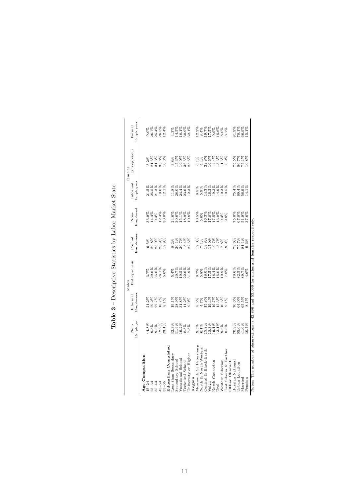|                         |                                                                                      |                                                          | Males                            |                                                                       |                                                                         |                                                                        | Females                                                            |                                                           |
|-------------------------|--------------------------------------------------------------------------------------|----------------------------------------------------------|----------------------------------|-----------------------------------------------------------------------|-------------------------------------------------------------------------|------------------------------------------------------------------------|--------------------------------------------------------------------|-----------------------------------------------------------|
|                         | Employed<br>Non-                                                                     | Employees<br>Informal                                    | Entrepreneur                     | Employees<br>Formal                                                   | Employed<br>Non-                                                        | Employees<br>Informal                                                  | Entrepreneur                                                       | Employees<br>Formal                                       |
| Age Composition         |                                                                                      |                                                          |                                  |                                                                       |                                                                         |                                                                        |                                                                    |                                                           |
| $15 - 24$               | 44.8%                                                                                | 21.2%                                                    | 3.7%                             | 9.5%                                                                  |                                                                         | 21.5%                                                                  | $3.2\%$                                                            | $9.0\%$                                                   |
| $25 - 34$               |                                                                                      |                                                          |                                  | 29.8%                                                                 |                                                                         |                                                                        |                                                                    | 26.7%                                                     |
| $35 - 44$               | $9.8%$<br>9.5%                                                                       | $29.2\%$<br>$22.7\%$                                     | $29.6%$<br>35.0%                 | 23.9%                                                                 |                                                                         | $25.5%$<br>$21.3%$                                                     | $21.5%$<br>$31.3%$                                                 | 25.4%                                                     |
| $45 - 54$               |                                                                                      | 18.7%                                                    | $26.1\%$                         | 23.9%                                                                 |                                                                         | 19.6%                                                                  | $33.8\%$                                                           | 26.5%                                                     |
| $55 - 65$               | 12.9%<br>23.1%                                                                       | $8.1\%$                                                  | $5.6\%$                          | 12.9%                                                                 | 8<br>8<br>8<br>8<br>8<br>8<br>9<br>9<br>9<br>9<br>9<br>9<br>8<br>8<br>8 | 12.1%                                                                  | $10.3\%$                                                           | 12.4%                                                     |
| Education Completed     |                                                                                      |                                                          |                                  |                                                                       |                                                                         |                                                                        |                                                                    |                                                           |
| Less than Secondary     |                                                                                      | 19.1%                                                    | 5.4%                             |                                                                       |                                                                         | 11.8%                                                                  | 3.8%                                                               | 4.3%                                                      |
| Secondary School        | 32.3%<br>31.9%                                                                       | 28.9%                                                    | 20.7%                            | $8.2\%$<br>20.1%                                                      |                                                                         |                                                                        | 15.3%                                                              | 14.5%                                                     |
| Vocational School       |                                                                                      |                                                          |                                  | 30.7%                                                                 |                                                                         |                                                                        | 19.0%                                                              |                                                           |
| <b>Technical School</b> | $\begin{array}{l} 19.2\% \\ 8.8\% \\ 7.8\% \end{array}$                              |                                                          |                                  |                                                                       |                                                                         |                                                                        |                                                                    |                                                           |
| University or Higher    |                                                                                      | $\begin{array}{l} 31.8\% \\ 11.2\% \\ 9.0\% \end{array}$ | $\frac{19.5\%}{22.6\%}$<br>31.9% | 18.4%<br>22.5%                                                        | 24.6%<br>30.6%%<br>30.18.38<br>10.18.19                                 | 28.0%<br>24.4%<br>23.3%                                                | $36.5%$<br>$25.5%$                                                 | $\begin{array}{c} 18.1\% \\ 30.9\% \\ 32.1\% \end{array}$ |
| Region                  |                                                                                      |                                                          |                                  |                                                                       |                                                                         |                                                                        |                                                                    |                                                           |
| Moscow & St Petersburg  |                                                                                      |                                                          |                                  |                                                                       |                                                                         | 8.5%                                                                   | $6.1\%$                                                            | $12.2\%$                                                  |
| North & North Western   |                                                                                      |                                                          |                                  |                                                                       |                                                                         |                                                                        |                                                                    |                                                           |
| Central & Black-Earth   |                                                                                      |                                                          |                                  |                                                                       |                                                                         |                                                                        |                                                                    |                                                           |
| Volga                   | $9.5\%$<br>$6.1\%$<br>$6.3\%$<br>$6.3\%$<br>$6.3\%$<br>$6.3\%$<br>$6.3\%$<br>$6.3\%$ | 8.5%<br>4.5%<br>4.5%<br>9.4%                             | 8.7%<br>8.8%<br>9.9%<br>9.7%     |                                                                       | 10.5%<br>16.3%<br>16.3%<br>17.5%                                        | $\frac{88}{14}$ , $\frac{388}{38}$ , $\frac{38}{19}$ , $\frac{38}{19}$ | $\begin{array}{c} 4.4\% \\ 22.8\% \\ 16.6\% \\ 14.4\% \end{array}$ | 8.4%<br>19.7%<br>19.5%<br>8.8%<br>8.8%                    |
| North Caucasian         |                                                                                      | 19.7%                                                    | 16.4%<br>15.0%                   |                                                                       |                                                                         |                                                                        |                                                                    |                                                           |
| Ural                    |                                                                                      | 12.3%                                                    |                                  |                                                                       |                                                                         | 14.9%                                                                  |                                                                    |                                                           |
| Western Siberian        | $\frac{9.6\%}{8.6\%}$                                                                | $\frac{10.6\%}{9.1\%}$                                   | 10.9%                            | 12.0%<br>7.1%<br>7.00077%<br>7.8%<br>7.000711<br>7.000711<br>7.000711 | $13.0\%$<br>9.4%<br>9.8%                                                | $10.3%$<br>$10.5%$                                                     | $13.3\%$<br>11.5%                                                  | 8.7%<br>8.7%                                              |
| East Siberia & Farther  |                                                                                      |                                                          |                                  |                                                                       |                                                                         |                                                                        | 10.9%                                                              |                                                           |
| Other Charact.          |                                                                                      |                                                          |                                  |                                                                       |                                                                         |                                                                        |                                                                    |                                                           |
| Russian National        | $70.9%$<br>$65.0%$<br>$41.0%$<br>$30.7%$                                             | 70.6%                                                    | 70.6%                            | 79.6%<br>75.7%<br>81.1%                                               |                                                                         | 75.4%                                                                  | 75.5%                                                              | 81.9%                                                     |
| Urban Location          |                                                                                      |                                                          |                                  |                                                                       |                                                                         |                                                                        |                                                                    | $78.1\%$                                                  |
| Married                 |                                                                                      | $64.0%$<br>$65.5%$                                       | 82.5%<br>89.7%                   |                                                                       | $75.0%$<br>$67.8%$<br>$51.9%$<br>$37.6%$                                | $69.4%$<br>56.9%                                                       | $80.7\%$<br>75.1%                                                  | 66.9%                                                     |
| Pension                 |                                                                                      | $8.1\%$                                                  | 4.6%                             | 9.6%                                                                  |                                                                         | 14.1%                                                                  | 10.8%                                                              | 15.1%                                                     |

| $\frac{1}{2}$<br>ľ<br>j<br>l |
|------------------------------|
| $\frac{1}{2}$<br>l           |
| i                            |
| ı                            |
| í<br>ļ                       |
|                              |
| ¢                            |
| i<br>l                       |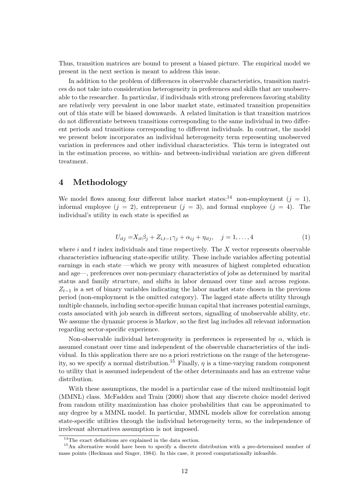Thus, transition matrices are bound to present a biased picture. The empirical model we present in the next section is meant to address this issue.

In addition to the problem of differences in observable characteristics, transition matrices do not take into consideration heterogeneity in preferences and skills that are unobservable to the researcher. In particular, if individuals with strong preferences favoring stability are relatively very prevalent in one labor market state, estimated transition propensities out of this state will be biased downwards. A related limitation is that transition matrices do not differentiate between transitions corresponding to the same individual in two different periods and transitions corresponding to different individuals. In contrast, the model we present below incorporates an individual heterogeneity term representing unobserved variation in preferences and other individual characteristics. This term is integrated out in the estimation process, so within- and between-individual variation are given different treatment.

#### 4 Methodology

We model flows among four different labor market states:<sup>14</sup> non-employment ( $j = 1$ ), informal employee  $(j = 2)$ , entrepreneur  $(j = 3)$ , and formal employee  $(j = 4)$ . The individual's utility in each state is specified as

$$
U_{itj} = X_{it}\beta_j + Z_{i,t-1}\gamma_j + \alpha_{ij} + \eta_{itj}, \quad j = 1, ..., 4
$$
 (1)

where  $i$  and  $t$  index individuals and time respectively. The  $X$  vector represents observable characteristics influencing state-specific utility. These include variables affecting potential earnings in each state —which we proxy with measures of highest completed education and age—, preferences over non-pecuniary characteristics of jobs as determined by marital status and family structure, and shifts in labor demand over time and across regions.  $Z_{t-1}$  is a set of binary variables indicating the labor market state chosen in the previous period (non-employment is the omitted category). The lagged state affects utility through multiple channels, including sector-specific human capital that increases potential earnings, costs associated with job search in different sectors, signalling of unobservable ability, etc. We assume the dynamic process is Markov, so the first lag includes all relevant information regarding sector-specific experience.

Non-observable individual heterogeneity in preferences is represented by  $\alpha$ , which is assumed constant over time and independent of the observable characteristics of the individual. In this application there are no a priori restrictions on the range of the heterogeneity, so we specify a normal distribution.<sup>15</sup> Finally,  $\eta$  is a time-varying random component to utility that is assumed independent of the other determinants and has an extreme value distribution.

With these assumptions, the model is a particular case of the mixed multinomial logit (MMNL) class. McFadden and Train (2000) show that any discrete choice model derived from random utility maximization has choice probabilities that can be approximated to any degree by a MMNL model. In particular, MMNL models allow for correlation among state-specific utilities through the individual heterogeneity term, so the independence of irrelevant alternatives assumption is not imposed.

<sup>&</sup>lt;sup>14</sup>The exact definitions are explained in the data section.

<sup>&</sup>lt;sup>15</sup>An alternative would have been to specify a discrete distribution with a pre-determined number of mass points (Heckman and Singer, 1984). In this case, it proved computationally infeasible.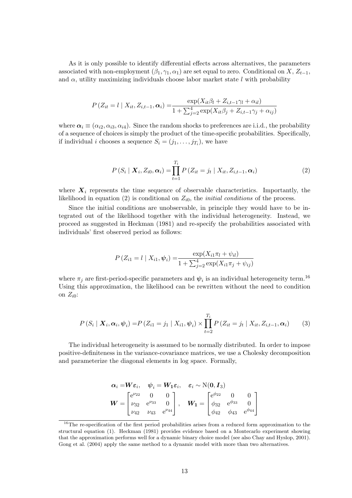As it is only possible to identify differential effects across alternatives, the parameters associated with non-employment  $(\beta_1, \gamma_1, \alpha_1)$  are set equal to zero. Conditional on X,  $Z_{t-1}$ , and  $\alpha$ , utility maximizing individuals choose labor market state l with probability

$$
P(Z_{it} = l \mid X_{it}, Z_{i,t-1}, \alpha_i) = \frac{\exp(X_{it}\beta_l + Z_{i,t-1}\gamma_l + \alpha_{il})}{1 + \sum_{j=2}^4 \exp(X_{it}\beta_j + Z_{i,t-1}\gamma_j + \alpha_{ij})}
$$

where  $\alpha_i \equiv (\alpha_{i2}, \alpha_{i3}, \alpha_{i4})$ . Since the random shocks to preferences are i.i.d., the probability of a sequence of choices is simply the product of the time-specific probabilities. Specifically, if individual *i* chooses a sequence  $S_i = (j_1, \ldots, j_{T_i})$ , we have

$$
P(S_i | \mathbf{X}_i, Z_{i0}, \alpha_i) = \prod_{t=1}^{T_i} P(Z_{it} = j_t | X_{it}, Z_{i,t-1}, \alpha_i)
$$
 (2)

where  $X_i$  represents the time sequence of observable characteristics. Importantly, the likelihood in equation (2) is conditional on  $Z_{i0}$ , the *initial conditions* of the process.

Since the initial conditions are unobservable, in principle they would have to be integrated out of the likelihood together with the individual heterogeneity. Instead, we proceed as suggested in Heckman (1981) and re-specify the probabilities associated with individuals' first observed period as follows:

$$
P(Z_{i1} = l \mid X_{i1}, \psi_i) = \frac{\exp(X_{i1}\pi_l + \psi_{il})}{1 + \sum_{j=2}^4 \exp(X_{i1}\pi_j + \psi_{ij})}
$$

where  $\pi_j$  are first-period-specific parameters and  $\psi_i$  is an individual heterogeneity term.<sup>16</sup> Using this approximation, the likelihood can be rewritten without the need to condition on  $Z_{i0}$ :

$$
P(S_i | \mathbf{X}_i, \alpha_i, \psi_i) = P(Z_{i1} = j_1 | X_{i1}, \psi_i) \times \prod_{t=2}^{T_i} P(Z_{it} = j_t | X_{it}, Z_{i,t-1}, \alpha_i)
$$
(3)

The individual heterogeneity is assumed to be normally distributed. In order to impose positive-definiteness in the variance-covariance matrices, we use a Cholesky decomposition and parameterize the diagonal elements in log space. Formally,

$$
\alpha_i = W \varepsilon_i, \quad \psi_i = W_1 \varepsilon_i, \quad \varepsilon_i \sim N(0, I_3)
$$
  

$$
W = \begin{bmatrix} e^{\nu_{22}} & 0 & 0 \\ \nu_{32} & e^{\nu_{33}} & 0 \\ \nu_{42} & \nu_{43} & e^{\nu_{44}} \end{bmatrix}, \quad W_1 = \begin{bmatrix} e^{\phi_{22}} & 0 & 0 \\ \phi_{32} & e^{\phi_{33}} & 0 \\ \phi_{42} & \phi_{43} & e^{\phi_{44}} \end{bmatrix}
$$

<sup>&</sup>lt;sup>16</sup>The re-specification of the first period probabilities arises from a reduced form approximation to the structural equation (1). Heckman (1981) provides evidence based on a Montecarlo experiment showing that the approximation performs well for a dynamic binary choice model (see also Chay and Hyslop, 2001). Gong et al. (2004) apply the same method to a dynamic model with more than two alternatives.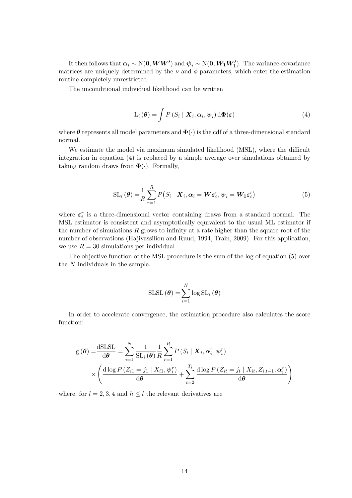It then follows that  $\alpha_i \sim \text{N}(0, WW')$  and  $\psi_i \sim \text{N}(0, W_1 W_1')$ . The variance-covariance matrices are uniquely determined by the  $\nu$  and  $\phi$  parameters, which enter the estimation routine completely unrestricted.

The unconditional individual likelihood can be written

$$
L_i(\boldsymbol{\theta}) = \int P(S_i \mid \boldsymbol{X}_i, \boldsymbol{\alpha}_i, \boldsymbol{\psi}_i) d\boldsymbol{\Phi}(\boldsymbol{\varepsilon})
$$
\n(4)

where  $\theta$  represents all model parameters and  $\Phi(\cdot)$  is the cdf of a three-dimensional standard normal.

We estimate the model via maximum simulated likelihood (MSL), where the difficult integration in equation (4) is replaced by a simple average over simulations obtained by taking random draws from  $\mathbf{\Phi}(\cdot)$ . Formally,

$$
SL_i(\boldsymbol{\theta}) = \frac{1}{R} \sum_{r=1}^R P(S_i \mid \boldsymbol{X}_i, \boldsymbol{\alpha}_i = \boldsymbol{W} \boldsymbol{\varepsilon}_i^r, \boldsymbol{\psi}_i = \boldsymbol{W}_1 \boldsymbol{\varepsilon}_i^r)
$$
(5)

where  $\varepsilon_i^r$  is a three-dimensional vector containing draws from a standard normal. The MSL estimator is consistent and asymptotically equivalent to the usual ML estimator if the number of simulations  $R$  grows to infinity at a rate higher than the square root of the number of observations (Hajivassiliou and Ruud, 1994, Train, 2009). For this application, we use  $R = 30$  simulations per individual.

The objective function of the MSL procedure is the sum of the log of equation (5) over the N individuals in the sample.

$$
\mathrm{SLSL}\left(\boldsymbol{\theta}\right) = \sum_{i=1}^{N} \log \mathrm{SL}_i\left(\boldsymbol{\theta}\right)
$$

In order to accelerate convergence, the estimation procedure also calculates the score function:

$$
g(\theta) = \frac{dSLSL}{d\theta} = \sum_{i=1}^{N} \frac{1}{SL_i(\theta)} \frac{1}{R} \sum_{r=1}^{R} P(S_i | X_i, \alpha_i^r, \psi_i^r)
$$
  
 
$$
\times \left( \frac{d \log P(Z_{i1} = j_1 | X_{i1}, \psi_i^r)}{d\theta} + \sum_{t=2}^{T_i} \frac{d \log P(Z_{it} = j_t | X_{it}, Z_{i,t-1}, \alpha_i^r)}{d\theta} \right)
$$

where, for  $l = 2, 3, 4$  and  $h \leq l$  the relevant derivatives are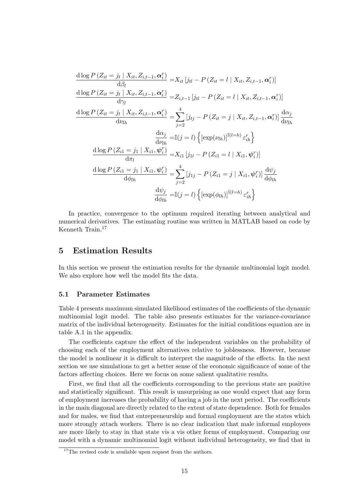$$
\frac{d \log P(Z_{it} = j_t | X_{it}, Z_{i,t-1}, \alpha_i^r)}{d \beta_l} = X_{it} [j_{tl} - P(Z_{it} = l | X_{it}, Z_{i,t-1}, \alpha_i^r)]
$$
\n
$$
\frac{d \log P(Z_{it} = j_t | X_{it}, Z_{i,t-1}, \alpha_i^r)}{d \gamma_l} = Z_{i,t-1} [j_{tl} - P(Z_{it} = l | X_{it}, Z_{i,t-1}, \alpha_i^r)]
$$
\n
$$
\frac{d \log P(Z_{it} = j_t | X_{it}, Z_{i,t-1}, \alpha_i^r)}{d \nu_{lh}} = \sum_{j=2}^4 [j_{tj} - P(Z_{it} = j | X_{it}, Z_{i,t-1}, \alpha_i^r)] \frac{d \alpha_j}{d \nu_{lh}}
$$
\n
$$
\frac{d \alpha_j}{d \nu_{lh}} = \mathbb{I}(j = l) \{ [\exp(\nu_{lh})]^{\mathbb{I}(l=h)} \varepsilon_{ih}^r \}
$$
\n
$$
\frac{d \log P(Z_{i1} = j_1 | X_{i1}, \psi_i^r)}{d \pi_l} = X_{i1} [j_{1l} - P(Z_{i1} = l | X_{i1}, \psi_i^r)]
$$
\n
$$
\frac{d \log P(Z_{i1} = j_1 | X_{i1}, \psi_i^r)}{d \phi_{lh}} = \sum_{j=2}^4 [j_{1j} - P(Z_{i1} = j | X_{i1}, \psi_i^r)] \frac{d \psi_j}{d \phi_{lh}}
$$
\n
$$
\frac{d \psi_j}{d \phi_{lh}} = \mathbb{I}(j = l) \{ [\exp(\phi_{lh})]^{\mathbb{I}(l=h)} \varepsilon_{ih}^r \}
$$

In practice, convergence to the optimum required iterating between analytical and numerical derivatives. The estimating routine was written in MATLAB based on code by Kenneth Train.<sup>17</sup>

#### 5 Estimation Results

In this section we present the estimation results for the dynamic multinomial logit model. We also explore how well the model fits the data.

#### 5.1 Parameter Estimates

Table 4 presents maximum simulated likelihood estimates of the coefficients of the dynamic multinomial logit model. The table also presents estimates for the variance-covariance matrix of the individual heterogeneity. Estimates for the initial conditions equation are in table A.1 in the appendix.

The coefficients capture the effect of the independent variables on the probability of choosing each of the employment alternatives relative to joblessness. However, because the model is nonlinear it is difficult to interpret the magnitude of the effects. In the next section we use simulations to get a better sense of the economic significance of some of the factors affecting choices. Here we focus on some salient qualitative results.

First, we find that all the coefficients corresponding to the previous state are positive and statistically significant. This result is unsurprising as one would expect that any form of employment increases the probability of having a job in the next period. The coefficients in the main diagonal are directly related to the extent of state dependence. Both for females and for males, we find that entrepreneurship and formal employment are the states which more strongly attach workers. There is no clear indication that male informal employees are more likely to stay in that state vis a vis other forms of employment. Comparing our model with a dynamic multinomial logit without individual heterogeneity, we find that in

 $17$ The revised code is available upon request from the authors.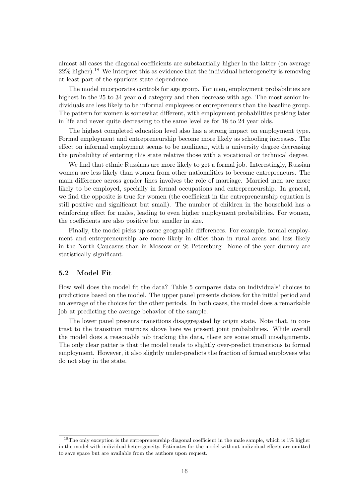almost all cases the diagonal coefficients are substantially higher in the latter (on average  $22\%$  higher).<sup>18</sup> We interpret this as evidence that the individual heterogeneity is removing at least part of the spurious state dependence.

The model incorporates controls for age group. For men, employment probabilities are highest in the 25 to 34 year old category and then decrease with age. The most senior individuals are less likely to be informal employees or entrepreneurs than the baseline group. The pattern for women is somewhat different, with employment probabilities peaking later in life and never quite decreasing to the same level as for 18 to 24 year olds.

The highest completed education level also has a strong impact on employment type. Formal employment and entrepreneurship become more likely as schooling increases. The effect on informal employment seems to be nonlinear, with a university degree decreasing the probability of entering this state relative those with a vocational or technical degree.

We find that ethnic Russians are more likely to get a formal job. Interestingly, Russian women are less likely than women from other nationalities to become entrepreneurs. The main difference across gender lines involves the role of marriage. Married men are more likely to be employed, specially in formal occupations and entrepreneurship. In general, we find the opposite is true for women (the coefficient in the entrepreneurship equation is still positive and significant but small). The number of children in the household has a reinforcing effect for males, leading to even higher employment probabilities. For women, the coefficients are also positive but smaller in size.

Finally, the model picks up some geographic differences. For example, formal employment and entrepreneurship are more likely in cities than in rural areas and less likely in the North Caucasus than in Moscow or St Petersburg. None of the year dummy are statistically significant.

#### 5.2 Model Fit

How well does the model fit the data? Table 5 compares data on individuals' choices to predictions based on the model. The upper panel presents choices for the initial period and an average of the choices for the other periods. In both cases, the model does a remarkable job at predicting the average behavior of the sample.

The lower panel presents transitions disaggregated by origin state. Note that, in contrast to the transition matrices above here we present joint probabilities. While overall the model does a reasonable job tracking the data, there are some small misalignments. The only clear patter is that the model tends to slightly over-predict transitions to formal employment. However, it also slightly under-predicts the fraction of formal employees who do not stay in the state.

<sup>&</sup>lt;sup>18</sup>The only exception is the entrepreneurship diagonal coefficient in the male sample, which is  $1\%$  higher in the model with individual heterogeneity. Estimates for the model without individual effects are omitted to save space but are available from the authors upon request.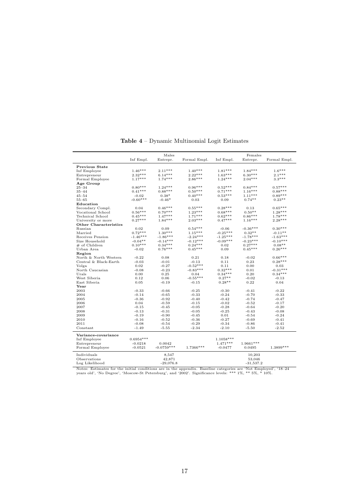|                              |             | Males        |              |             | Females     |              |
|------------------------------|-------------|--------------|--------------|-------------|-------------|--------------|
|                              | Inf Empl.   | Entrepr.     | Formal Empl. | Inf Empl.   | Entrepr.    | Formal Empl. |
| <b>Previous State</b>        |             |              |              |             |             |              |
| Inf Employee                 | $1.46***$   | $2.11***$    | $1.40***$    | $1.81***$   | $1.84***$   | $1.6***$     |
| Entrepreneur                 | $2.32***$   | $6.14***$    | $2.22***$    | $1.63***$   | $6.30***$   | $2.1***$     |
| Formal Employee              | $1.17***$   | $1.74***$    | $2.86***$    | $1.24***$   | $2.04***$   | $3.3***$     |
| Age Group                    |             |              |              |             |             |              |
| $25 - 34$                    | $0.80***$   | $1.24***$    | $0.96***$    | $0.52***$   | $0.84***$   | $0.57***$    |
| $35 - 44$                    | $0.41***$   | $0.88***$    | $0.50***$    | $0.71***$   | $1.16***$   | $0.88***$    |
| $45 - 54$                    | $-0.02$     | $0.38*$      | $0.40***$    | $0.53***$   | $1.11***$   | $0.89***$    |
| $55 - 65$                    | $-0.60***$  | $-0.46*$     | 0.03         | 0.09        | $0.74**$    | $0.23**$     |
| Education                    |             |              |              |             |             |              |
| Secondary Compl.             | 0.04        | $0.46***$    | $0.55***$    | $0.28***$   | 0.13        | $0.65***$    |
| Vocational School            | $0.56***$   | $0.70***$    | $1.23***$    | $0.68***$   | $0.50**$    | $1.28***$    |
| Technical School             | $0.45***$   | $1.47***$    | $1.71***$    | $0.62***$   | $0.86***$   | $1.78***$    |
| University or more           | $0.27***$   | $1.84***$    | $2.03***$    | $0.47***$   | $1.16***$   | $2.28***$    |
| <b>Other Characteristics</b> |             |              |              |             |             |              |
| Russian                      | 0.02        | 0.09         | $0.54***$    | $-0.06$     | $-0.36***$  | $0.30***$    |
| Married                      | $0.72***$   | $1.30***$    | $1.15***$    | $-0.25***$  | $0.32**$    | $-0.11**$    |
| Receives Pension             | $-1.46***$  | $-1.86***$   | $-2.24***$   | $-1.25***$  | $-1.78***$  | $-1.63***$   |
| Size Household               | $-0.04**$   | $-0.14***$   | $-0.12***$   | $-0.09***$  | $-0.23***$  | $-0.10***$   |
| # of Children                | $0.10***$   | $0.34***$    | $0.24***$    | 0.02        | $0.27***$   | $0.08**$     |
| Urban Area                   | $-0.02$     | $0.76***$    | $0.45***$    | 0.09        | $0.45***$   | $0.26***$    |
| Region                       |             |              |              |             |             |              |
| North & North Western        | $-0.22$     | 0.08         | 0.21         | 0.18        | $-0.02$     | $0.66***$    |
| Central & Black-Earth        | $-0.03$     | $-0.01$      | $-0.13$      | 0.11        | 0.23        | $0.28***$    |
| Volga                        | 0.02        | $-0.27$      | $-0.52***$   | 0.11        | 0.00        | 0.03         |
| North Caucasian              | $-0.08$     | $-0.23$      | $-0.83***$   | $0.32***$   | 0.01        | $-0.31***$   |
| Urals                        | 0.00        | 0.25         | 0.04         | $0.34***$   | 0.20        | $0.34***$    |
| West Siberia                 | 0.12        | 0.06         | $-0.55***$   | $0.27**$    | $-0.02$     | $-0.13$      |
| East Siberia                 | 0.05        | $-0.19$      | $-0.15$      | $0.28**$    | 0.22        | 0.04         |
| Year                         |             |              |              |             |             |              |
| 2003                         | $-0.33$     | $-0.66$      | $-0.25$      | $-0.30$     | $-0.41$     | $-0.22$      |
| 2004                         |             |              |              |             |             |              |
|                              | $-0.14$     | $-0.65$      | $-0.33$      | $-0.24$     | $-0.70$     | $-0.33$      |
| 2005                         | $-0.36$     | $-0.92$      | $-0.40$      | $-0.42$     | $-0.74$     | $-0.47$      |
| 2006                         | 0.04        | $-0.59$      | $-0.15$      | $-0.02$     | $-0.52$     | $-0.17$      |
| 2007                         | $-0.15$     | $-0.45$      | $-0.05$      | $-0.28$     | $-0.64$     | $-0.20$      |
| 2008                         | $-0.13$     | $-0.31$      | $-0.05$      | $-0.25$     | $-0.43$     | $-0.08$      |
| 2009                         | $-0.19$     | $-0.90$      | $-0.45$      | 0.01        | $-0.54$     | $-0.24$      |
| 2010                         | $-0.16$     | $-0.52$      | $-0.36$      | $-0.27$     | $-0.69$     | $-0.41$      |
| 2011                         | $-0.08$     | $-0.54$      | $-0.29$      | $-0.34$     | $-0.86$     | $-0.41$      |
| $Constant$                   | $-1.49$     | $-5.55$      | $-2.34$      | $-2.10$     | $-5.50$     | $-2.52$      |
| Variance-covariance          |             |              |              |             |             |              |
| Inf Employee                 | $0.6954***$ |              |              | $1.1058***$ |             |              |
| Entrepreneur                 | $-0.0218$   | 0.0042       |              | $1.471***$  | $1.9661***$ |              |
| Formal Employee              | $-0.0521$   | $-0.0759***$ | 1.7366***    | $-0.0477$   | 0.0495      | 1.3899 ***   |
|                              |             |              |              |             |             |              |
| Individuals                  |             | 8,547        |              |             | 10,203      |              |
| Observations                 |             | 42,871       |              |             | 53,046      |              |
| Log Likelihood               |             | $-29,076.8$  |              |             | $-31,537.2$ |              |

Table 4 – Dynamic Multinomial Logit Estimates

Notes: Estimates for the initial conditions are in the appendix. Baseline categories are 'Not Employed', '18–24 years old', 'No Degree', 'Moscow-St Petersburg', and '2002'. Significance levels: \*\*\* 1%, \*\* 5%, \* 10%.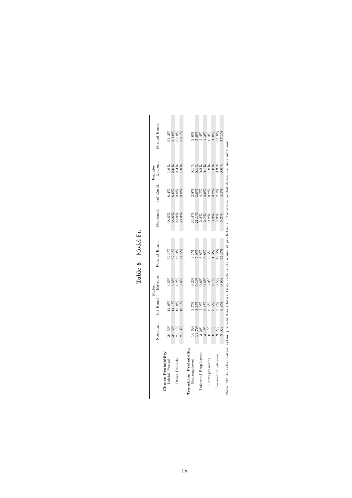|                                      |          |                         | Males                |              |                                                                   |              | Females              |                        |
|--------------------------------------|----------|-------------------------|----------------------|--------------|-------------------------------------------------------------------|--------------|----------------------|------------------------|
|                                      | Nonempl. | Inf Empl.               | Entrepr.             | Formal Empl. | Nonempl.                                                          | Inf Empl.    | Entrepr.             | Formal Empl.           |
| Choice Probability<br>Initial Period | 30.5%    |                         |                      | 52.1%        | 38.5%                                                             | 8.4%         |                      | 51.3%                  |
|                                      | 30.3%    | 14.0%<br>14.1%<br>15.8% | 3.5%<br>3.5%<br>3.9% | 52.1%        | 38.6%                                                             | 8.6%         | 1.8%<br>2.0%<br>2.4% | $50.8\%$               |
| Other Periods                        | 23.1%    |                         |                      | 56.9%        | 29.9%                                                             | 9.8%         |                      | 57.9%                  |
|                                      | 23.0%    | 16.1%                   |                      | 57.4%        | 30.3%                                                             | 9.9%         | .8%                  | 58.1%                  |
| Transition Probability               |          |                         |                      |              |                                                                   |              |                      |                        |
| Nonemployed                          | 16.6%    |                         |                      | $3.1\%$      |                                                                   | 2.8%<br>3.0% | $0.1\%$              |                        |
|                                      | 14.7%    |                         |                      | 5.0%         |                                                                   |              |                      |                        |
| Informal Employees                   | $3.2\%$  | 8<br>8888888<br>5995599 |                      | 3.8%         | $\begin{array}{c} 23.4\% \\ 21.1\% \\ 2.4\% \\ 2.7\% \end{array}$ | 4.7%         | $0.2\%$<br>$0.1\%$   | 88888<br>88888<br>8888 |
|                                      | $3.1\%$  |                         |                      | 6.8%         |                                                                   | 2.6%         |                      |                        |
| Entrepreneurs                        | $0.1\%$  |                         |                      | 0.5%         | $0.2\%$                                                           | $0.2\%$      | $1.8\%$<br>$1.0\%$   | 0.3%<br>1.0%           |
|                                      | $0.1\%$  |                         |                      | 1.3%         | $0.3\%$                                                           | 0.2%         |                      |                        |
| Formal Employees                     | $3.2\%$  |                         | 0.5%                 | 49.5%        | 3.9%                                                              | $2.1\%$      | 0.3%                 | 51.6%                  |
|                                      | 5.0%     | 6.8%                    | 0.8%                 | 44.2%        | $6.2\%$                                                           | $1\%$        | $0.6\%$              | 17.1%                  |

Table  ${\bf 5}$  – Model Fit Table 5 – Model Fit

18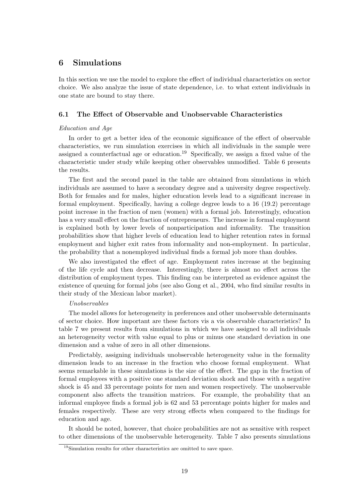#### 6 Simulations

In this section we use the model to explore the effect of individual characteristics on sector choice. We also analyze the issue of state dependence, i.e. to what extent individuals in one state are bound to stay there.

#### 6.1 The Effect of Observable and Unobservable Characteristics

#### Education and Age

In order to get a better idea of the economic significance of the effect of observable characteristics, we run simulation exercises in which all individuals in the sample were assigned a counterfactual age or education.<sup>19</sup> Specifically, we assign a fixed value of the characteristic under study while keeping other observables unmodified. Table 6 presents the results.

The first and the second panel in the table are obtained from simulations in which individuals are assumed to have a secondary degree and a university degree respectively. Both for females and for males, higher education levels lead to a significant increase in formal employment. Specifically, having a college degree leads to a 16 (19.2) percentage point increase in the fraction of men (women) with a formal job. Interestingly, education has a very small effect on the fraction of entrepreneurs. The increase in formal employment is explained both by lower levels of nonparticipation and informality. The transition probabilities show that higher levels of education lead to higher retention rates in formal employment and higher exit rates from informality and non-employment. In particular, the probability that a nonemployed individual finds a formal job more than doubles.

We also investigated the effect of age. Employment rates increase at the beginning of the life cycle and then decrease. Interestingly, there is almost no effect across the distribution of employment types. This finding can be interpreted as evidence against the existence of queuing for formal jobs (see also Gong et al., 2004, who find similar results in their study of the Mexican labor market).

#### Unobservables

The model allows for heterogeneity in preferences and other unobservable determinants of sector choice. How important are these factors vis a vis observable characteristics? In table 7 we present results from simulations in which we have assigned to all individuals an heterogeneity vector with value equal to plus or minus one standard deviation in one dimension and a value of zero in all other dimensions.

Predictably, assigning individuals unobservable heterogeneity value in the formality dimension leads to an increase in the fraction who choose formal employment. What seems remarkable in these simulations is the size of the effect. The gap in the fraction of formal employees with a positive one standard deviation shock and those with a negative shock is 45 and 33 percentage points for men and women respectively. The unobservable component also affects the transition matrices. For example, the probability that an informal employee finds a formal job is 62 and 53 percentage points higher for males and females respectively. These are very strong effects when compared to the findings for education and age.

It should be noted, however, that choice probabilities are not as sensitive with respect to other dimensions of the unobservable heterogeneity. Table 7 also presents simulations

<sup>19</sup>Simulation results for other characteristics are omitted to save space.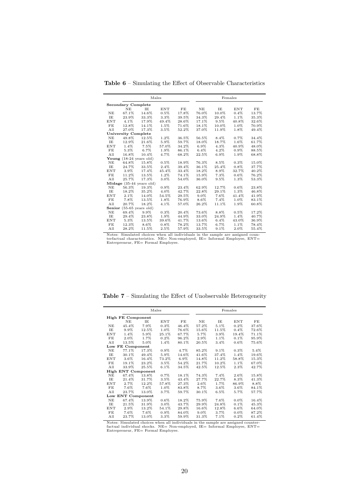| <b>Table 6</b> – Simulating the Effect of Observable Characteristics |  |  |  |
|----------------------------------------------------------------------|--|--|--|
|----------------------------------------------------------------------|--|--|--|

|            |                                   | Males                       |            |       |         |         | Females    |       |
|------------|-----------------------------------|-----------------------------|------------|-------|---------|---------|------------|-------|
|            | <b>Secondary Complete</b>         |                             |            |       |         |         |            |       |
|            | NE.                               | TE.                         | <b>ENT</b> | FE    | NE      | IE      | <b>ENT</b> | FE    |
| NE         | 67.1%                             | 14.6%                       | $0.5\%$    | 17.8% | 76.0%   | 10.0%   | $0.4\%$    | 13.7% |
| TE.        | 23.9%                             | 33.3%                       | 3.3%       | 39.5% | 34.3%   | 29.4%   | 1.1%       | 35.3% |
| <b>ENT</b> | $4.1\%$                           | 17.9%                       | 49.4%      | 28.6% | 17.1%   | $9.5\%$ | 40.8%      | 32.6% |
| FE         | 12.8%                             | 14.1%                       | 1.5%       | 71.6% | 18.1%   | 10.0%   | 1.0%       | 70.9% |
| All        | 27.0%                             | 17.3%                       | 3.5%       | 52.2% | 37.0%   | 11.9%   | 1.8%       | 49.4% |
|            | <b>University Complete</b>        |                             |            |       |         |         |            |       |
| NE         | 49.8%                             | 12.5%                       | 1.2%       | 36.5% | 56.5%   | 8.4%    | 0.7%       | 34.4% |
| IE         | 12.9%                             | 21.6%                       | 5.9%       | 59.7% | 18.0%   | 18.7%   | 1.6%       | 61.7% |
| <b>ENT</b> | $1.4\%$                           | 7.5%                        | 57.0%      | 34.2% | 6.9%    | 4.3%    | 40.9%      | 48.0% |
| FE         | 5.3%                              | 6.7%                        | 1.9%       | 86.1% | $6.4\%$ | $4.2\%$ | $0.9\%$    | 88.5% |
| All        | 16.8%                             | 10.4%                       | 4.7%       | 68.2% | 22.5%   | $6.9\%$ | 1.9%       | 68.8% |
|            | Young $(18-24 \text{ years old})$ |                             |            |       |         |         |            |       |
| NE         | 64.8%                             | 15.8%                       | $0.5\%$    | 18.9% | 76.3%   | 8.5%    | $0.3\%$    | 15.0% |
| IE         | 24.7%                             | 33.5%                       | 2.4%       | 39.4% | 36.1%   | 25.4%   | $0.8\%$    | 37.7% |
| <b>ENT</b> | $3.9\%$                           | 17.4%                       | 45.4%      | 33.4% | 18.2%   | 8.9%    | 32.7%      | 40.2% |
| FE         | 11.2%                             | 13.5%                       | $1.2\%$    | 74.1% | 15.9%   | 7.3%    | $0.6\%$    | 76.2% |
| All        | 25.7%                             | 17.3%                       | 3.0%       | 54.0% | 36.0%   | $9.5\%$ | 1.3%       | 53.3% |
|            |                                   | $Midage(35-44 years old)$   |            |       |         |         |            |       |
| NE         | 56.3%                             | 19.3%                       | 0.9%       | 23.4% | 62.9%   | 12.7%   | $0.6\%$    | 23.8% |
| IE         | 18.2%                             | 35.2%                       | 4.0%       | 42.7% | 22.8%   | 29.1%   | 1.3%       | 46.8% |
| ENT        | $2.1\%$                           | 14.0%                       | 54.5%      | 29.5% | $9.0\%$ | $7.6\%$ | 41.4%      | 41.9% |
| FE         | 7.8%                              | 13.5%                       | 1.8%       | 76.9% | 8.6%    | 7.4%    | 1.0%       | 83.1% |
| A11        | 20.7%                             | 18.2%                       | 4.1%       | 57.0% | 26.2%   | 11.1%   | 1.9%       | 60.8% |
| Senior     |                                   | $(55-65 \text{ years old})$ |            |       |         |         |            |       |
| NE         | 69.4%                             | 9.9%                        | $0.3\%$    | 20.4% | 73.6%   | 8.8%    | $0.5\%$    | 17.2% |
| IE         | 29.4%                             | 23.8%                       | 1.9%       | 44.9% | 33.0%   | 24.9%   | $1.4\%$    | 40.7% |
| ENT        | $5.3\%$                           | 13.5%                       | 39.6%      | 41.7% | 13.6%   | $6.4\%$ | 43.0%      | 36.9% |
| FE         | 12.3%                             | 8.6%                        | 0.8%       | 78.2% | 13.7%   | 6.7%    | 1.1%       | 78.4% |
| All        | 28.2%                             | 11.5%                       | 2.5%       | 57.9% | 33.5%   | $9.1\%$ | 2.0%       | 55.4% |

Notes: Simulated choices when all individuals in the sample are assigned coun-terfactual characteristics. NE= Non-employed, IE= Informal Employee, ENT= Entrepreneur, FE= Formal Employee.

Table 7 – Simulating the Effect of Unobservable Heterogeneity

|            |                          |                           | Males   |         |         |         | Females |         |
|------------|--------------------------|---------------------------|---------|---------|---------|---------|---------|---------|
|            | <b>High FE Component</b> |                           |         |         |         |         |         |         |
|            | NE                       | TE.                       | ENT     | FE      | NE      | IE      | ENT     | FE      |
| NE         | 45.4%                    | 7.9%                      | $0.3\%$ | 46.4%   | 57.2%   | $5.1\%$ | $0.2\%$ | 37.6%   |
| IE         | 9.9%                     | 12.5%                     | 1.0%    | 76.6%   | 15.6%   | 11.5%   | $0.4\%$ | 72.6%   |
| <b>ENT</b> | 1.4%                     | 5.9%                      | 25.1%   | 67.7%   | 5.7%    | 3.9%    | 19.4%   | 71.1%   |
| FE         | 2.0%                     | 1.7%                      | $0.2\%$ | 96.2%   | 2.9%    | 1.1%    | $0.1\%$ | 95.9%   |
| All        | 13.5%                    | 5.0%                      | $1.4\%$ | 80.1%   | 20.5%   | $3.4\%$ | $0.6\%$ | 75.6%   |
|            | Low FE Component         |                           |         |         |         |         |         |         |
| NE         | 77.1%                    | 17.3%                     | $0.9\%$ | $4.7\%$ | 85.2%   | $9.1\%$ | $0.3\%$ | $5.4\%$ |
| TE.        | 30.1%                    | 49.4%                     | 5.9%    | 14.6%   | 41.6%   | 37.4%   | $1.4\%$ | 19.6%   |
| <b>ENT</b> | $3.6\%$                  | 16.4%                     | 73.2%   | $6.9\%$ | 14.8%   | 11.2%   | 58.8%   | 15.3%   |
| FE         | 19.1%                    | 23.2%                     | $3.5\%$ | 54.2%   | 21.7%   | 10.2%   | $1.1\%$ | 67.0%   |
| All        | 33.9%                    | 25.5%                     | $6.1\%$ | 34.5%   | 42.5%   | 12.5%   | $2.3\%$ | 42.7%   |
|            |                          | <b>High ENT Component</b> |         |         |         |         |         |         |
| NE         | 67.4%                    | 13.8%                     | $0.7\%$ | 18.1%   | 74.3%   | $7.4\%$ | 2.6%    | 15.8%   |
| IE         | 21.4%                    | 31.7%                     | $3.5\%$ | 43.4%   | 27.7%   | 22.7%   | 8.3%    | 41.3%   |
| <b>ENT</b> | 2.7%                     | 12.2%                     | 57.8%   | 27.3%   | $2.6\%$ | 1.7%    | 86.9%   | 8.8%    |
| FE         | 7.6%                     | $7.6\%$                   | 1.0%    | 83.8%   | 8.7%    | $3.6\%$ | $3.6\%$ | 84.1%   |
| All        | 23.7%                    | 13.0%                     | $3.7\%$ | 59.7%   | 30.1%   | $6.5\%$ | 5.7%    | 57.7%   |
|            | Low ENT Component        |                           |         |         |         |         |         |         |
| NE         | 67.4%                    | 13.9%                     | $0.6\%$ | 18.2%   | 75.9%   | $7.6\%$ | $0.0\%$ | 16.4%   |
| IE         | 21.5%                    | 31.9%                     | 3.0%    | 43.7%   | 29.9%   | 24.8%   | $0.1\%$ | 45.3%   |
| <b>ENT</b> | $2.9\%$                  | 13.2%                     | 54.1%   | 29.8%   | 16.6%   | 12.8%   | $6.6\%$ | 64.0%   |
| FE         | 7.6%                     | $7.6\%$                   | $0.9\%$ | 84.0%   | 9.0%    | $3.7\%$ | $0.0\%$ | 87.2%   |
| All        | 23.7%                    | 13.0%                     | $3.3\%$ | 59.9%   | 31.3%   | $7.1\%$ | $0.2\%$ | 61.4%   |

Notes: Simulated choices when all individuals in the sample are assigned counter-factual individual shocks. NE= Non-employed, IE= Informal Employee, ENT= Entrepreneur, FE= Formal Employee.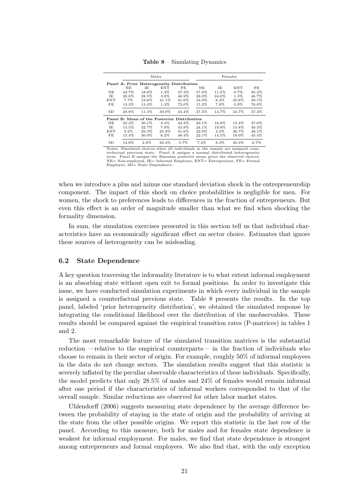|            |                                             |       | Males   |         |       |         | Females |       |
|------------|---------------------------------------------|-------|---------|---------|-------|---------|---------|-------|
|            | Panel A: Prior Heterogeneity Distribution   |       |         |         |       |         |         |       |
|            | NE                                          | ΙE    | ENT     | FE      | NE.   | ΙE      | ENT     | FE.   |
| NE.        | 42.7%                                       | 18.6% | $1.4\%$ | 37.3%   | 57.6% | 11.5%   | $0.7\%$ | 30.2% |
| IE         | 20.8%                                       | 28.5% | 3.8%    | 46.9%   | 28.0% | 24.0%   | 1.3%    | 46.7% |
| <b>ENT</b> | 7.7%                                        | 19.6% | 41.1%   | 31.6%   | 16.9% | 8.4%    | 35.6%   | 39.1% |
| FE         | 13.3%                                       | 13.4% | $1.3\%$ | 72.0%   | 15.2% | 7.9%    | $0.9\%$ | 76.0% |
| SD         | 28.8%                                       | 11.3% | 39.0%   | 33.4%   | 37.5% | 14.7%   | 34.7%   | 37.3% |
|            | Panel B: Mean of the Posterior Distribution |       |         |         |       |         |         |       |
| NE         | 25.2%                                       | 30.1% | $2.4\%$ | 42.3%   | 30.1% | 16.8%   | 15.4%   | 37.6% |
| TE.        | 15.5%                                       | 32.7% | 7.9%    | 43.9%   | 24.1% | 19.8%   | 15.8%   | 40.3% |
| ENT        | $3.2\%$                                     | 29.3% | 25.9%   | 41.6%   | 22.0% | $3.2\%$ | 36.7%   | 38.1% |
| FE         | 15.4%                                       | 30.0% | $6.2\%$ | 48.4%   | 22.1% | 14.5%   | 18.0%   | 45.4% |
| SD         | 13.8%                                       | 2.8%  | 20.4%   | $5.7\%$ | 7.4%  | 8.3%    | 20.3%   | 6.7%  |

Table 8 – Simulating Dynamics

Notes: Simulated choices when all individuals in the sample are assigned coun-terfactual previous state. Panel A assigns a normal distributed heterogeneity term. Panel B assigns the Bayesian posterior mean given the observed choices. NE= Non-employed, IE= Informal Employee, ENT= Entrepreneur, FE= Formal Employee, SD= State Dependence.

when we introduce a plus and minus one standard deviation shock in the entrepreneurship component. The impact of this shock on choice probabilities is negligible for men. For women, the shock to preferences leads to differences in the fraction of entrepreneurs. But even this effect is an order of magnitude smaller than what we find when shocking the formality dimension.

In sum, the simulation exercises presented in this section tell us that individual characteristics have an economically significant effect on sector choice. Estimates that ignore these sources of heterogeneity can be misleading.

#### 6.2 State Dependence

A key question traversing the informality literature is to what extent informal employment is an absorbing state without open exit to formal positions. In order to investigate this issue, we have conducted simulation experiments in which every individual in the sample is assigned a counterfactual previous state. Table 8 presents the results. In the top panel, labeled 'prior heterogeneity distribution', we obtained the simulated response by integrating the conditional likelihood over the distribution of the unobservables. These results should be compared against the empirical transition rates (P-matrices) in tables 1 and 2.

The most remarkable feature of the simulated transition matrices is the substantial reduction —relative to the empirical counterparts— in the fraction of individuals who choose to remain in their sector of origin. For example, roughly 50% of informal employees in the data do not change sectors. The simulation results suggest that this statistic is severely inflated by the peculiar observable characteristics of these individuals. Specifically, the model predicts that only 28.5% of males and 24% of females would remain informal after one period if the characteristics of informal workers corresponded to that of the overall sample. Similar reductions are observed for other labor market states.

Uhlendorff (2006) suggests measuring state dependence by the average difference between the probability of staying in the state of origin and the probability of arriving at the state from the other possible origins. We report this statistic in the last row of the panel. According to this measure, both for males and for females state dependence is weakest for informal employment. For males, we find that state dependence is strongest among entrepreneurs and formal employees. We also find that, with the only exception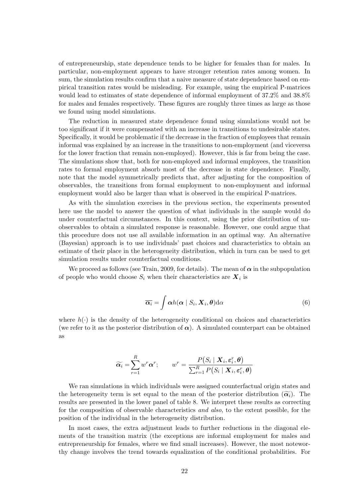of entrepreneurship, state dependence tends to be higher for females than for males. In particular, non-employment appears to have stronger retention rates among women. In sum, the simulation results confirm that a naive measure of state dependence based on empirical transition rates would be misleading. For example, using the empirical P-matrices would lead to estimates of state dependence of informal employment of 37.2% and 38.8% for males and females respectively. These figures are roughly three times as large as those we found using model simulations.

The reduction in measured state dependence found using simulations would not be too significant if it were compensated with an increase in transitions to undesirable states. Specifically, it would be problematic if the decrease in the fraction of employees that remain informal was explained by an increase in the transitions to non-employment (and viceversa for the lower fraction that remain non-employed). However, this is far from being the case. The simulations show that, both for non-employed and informal employees, the transition rates to formal employment absorb most of the decrease in state dependence. Finally, note that the model symmetrically predicts that, after adjusting for the composition of observables, the transitions from formal employment to non-employment and informal employment would also be larger than what is observed in the empirical P-matrices.

As with the simulation exercises in the previous section, the experiments presented here use the model to answer the question of what individuals in the sample would do under counterfactual circumstances. In this context, using the prior distribution of unobservables to obtain a simulated response is reasonable. However, one could argue that this procedure does not use all available information in an optimal way. An alternative (Bayesian) approach is to use individuals' past choices and characteristics to obtain an estimate of their place in the heterogeneity distribution, which in turn can be used to get simulation results under counterfactual conditions.

We proceed as follows (see Train, 2009, for details). The mean of  $\alpha$  in the subpopulation of people who would choose  $S_i$  when their characteristics are  $X_i$  is

$$
\overline{\alpha_i} = \int \alpha h(\alpha \mid S_i, \mathbf{X}_i, \boldsymbol{\theta}) d\alpha \tag{6}
$$

where  $h(\cdot)$  is the density of the heterogeneity conditional on choices and characteristics (we refer to it as the posterior distribution of  $\alpha$ ). A simulated counterpart can be obtained as

$$
\widetilde{\alpha_i} = \sum_{r=1}^R w^r \alpha^r; \qquad w^r = \frac{P(S_i \mid \bm{X}_i, \bm{\varepsilon}_i^r, \bm{\theta})}{\sum_{r=1}^R P(S_i \mid \bm{X}_i, \bm{\varepsilon}_i^r, \bm{\theta})}
$$

We ran simulations in which individuals were assigned counterfactual origin states and the heterogeneity term is set equal to the mean of the posterior distribution  $(\widetilde{\alpha_i})$ . The results are presented in the lower panel of table 8. We interpret these results as correcting for the composition of observable characteristics and also, to the extent possible, for the position of the individual in the heterogeneity distribution.

In most cases, the extra adjustment leads to further reductions in the diagonal elements of the transition matrix (the exceptions are informal employment for males and entrepreneurship for females, where we find small increases). However, the most noteworthy change involves the trend towards equalization of the conditional probabilities. For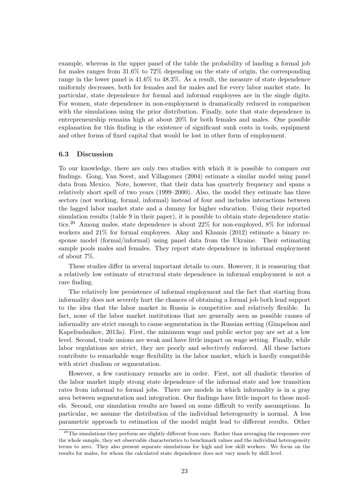example, whereas in the upper panel of the table the probability of landing a formal job for males ranges from 31.6% to 72% depending on the state of origin, the corresponding range in the lower panel is 41.6% to 48.3%. As a result, the measure of state dependence uniformly decreases, both for females and for males and for every labor market state. In particular, state dependence for formal and informal employees are in the single digits. For women, state dependence in non-employment is dramatically reduced in comparison with the simulations using the prior distribution. Finally, note that state dependence in entrepreneurship remains high at about 20% for both females and males. One possible explanation for this finding is the existence of significant sunk costs in tools, equipment and other forms of fixed capital that would be lost in other form of employment.

#### 6.3 Discussion

To our knowledge, there are only two studies with which it is possible to compare our findings. Gong, Van Soest, and Villagomez (2004) estimate a similar model using panel data from Mexico. Note, however, that their data has quarterly frequency and spans a relatively short spell of two years (1999–2000). Also, the model they estimate has three sectors (not working, formal, informal) instead of four and includes interactions between the lagged labor market state and a dummy for higher education. Using their reported simulation results (table 9 in their paper), it is possible to obtain state dependence statistics.<sup>20</sup> Among males, state dependence is about  $22\%$  for non-employed,  $8\%$  for informal workers and 21% for formal employees. Akay and Khamis (2012) estimate a binary response model (formal/informal) using panel data from the Ukraine. Their estimating sample pools males and females. They report state dependence in informal employment of about 7%.

These studies differ in several important details to ours. However, it is reassuring that a relatively low estimate of structural state dependence in informal employment is not a rare finding.

The relatively low persistence of informal employment and the fact that starting from informality does not severely hurt the chances of obtaining a formal job both lend support to the idea that the labor market in Russia is competitive and relatively flexible. In fact, none of the labor market institutions that are generally seen as possible causes of informality are strict enough to cause segmentation in the Russian setting (Gimpelson and Kapeliushnikov, 2013a). First, the minimum wage and public sector pay are set at a low level. Second, trade unions are weak and have little impact on wage setting. Finally, while labor regulations are strict, they are poorly and selectively enforced. All these factors contribute to remarkable wage flexibility in the labor market, which is hardly compatible with strict dualism or segmentation.

However, a few cautionary remarks are in order. First, not all dualistic theories of the labor market imply strong state dependence of the informal state and low transition rates from informal to formal jobs. There are models in which informality is in a gray area between segmentation and integration. Our findings have little import to these models. Second, our simulation results are based on some difficult to verify assumptions. In particular, we assume the distribution of the individual heterogeneity is normal. A less parametric approach to estimation of the model might lead to different results. Other

 $^{20}$ The simulations they perform are slightly different from ours. Rather than averaging the responses over the whole sample, they set observable characteristics to benchmark values and the individual heterogeneity terms to zero. They also present separate simulations for high and low skill workers. We focus on the results for males, for whom the calculated state dependence does not vary much by skill level.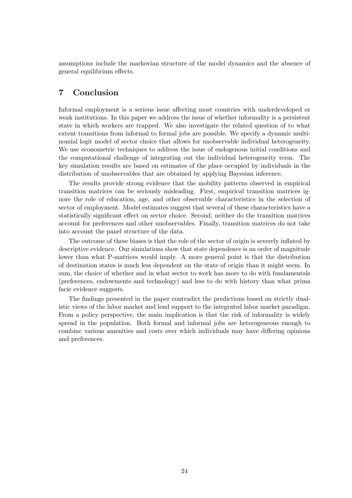assumptions include the markovian structure of the model dynamics and the absence of general equilibrium effects.

### 7 Conclusion

Informal employment is a serious issue affecting most countries with underdeveloped or weak institutions. In this paper we address the issue of whether informality is a persistent state in which workers are trapped. We also investigate the related question of to what extent transitions from informal to formal jobs are possible. We specify a dynamic multinomial logit model of sector choice that allows for unobservable individual heterogeneity. We use econometric techniques to address the issue of endogenous initial conditions and the computational challenge of integrating out the individual heterogeneity term. The key simulation results are based on estimates of the place occupied by individuals in the distribution of unobservables that are obtained by applying Bayesian inference.

The results provide strong evidence that the mobility patterns observed in empirical transition matrices can be seriously misleading. First, empirical transition matrices ignore the role of education, age, and other observable characteristics in the selection of sector of employment. Model estimates suggest that several of these characteristics have a statistically significant effect on sector choice. Second, neither do the transition matrices account for preferences and other unobservables. Finally, transition matrices do not take into account the panel structure of the data.

The outcome of these biases is that the role of the sector of origin is severely inflated by descriptive evidence. Our simulations show that state dependence is an order of magnitude lower than what P-matrices would imply. A more general point is that the distribution of destination states is much less dependent on the state of origin than it might seem. In sum, the choice of whether and in what sector to work has more to do with fundamentals (preferences, endowments and technology) and less to do with history than what prima facie evidence suggests.

The findings presented in the paper contradict the predictions based on strictly dualistic views of the labor market and lend support to the integrated labor market paradigm. From a policy perspective, the main implication is that the risk of informality is widely spread in the population. Both formal and informal jobs are heterogeneous enough to combine various amenities and costs over which individuals may have differing opinions and preferences.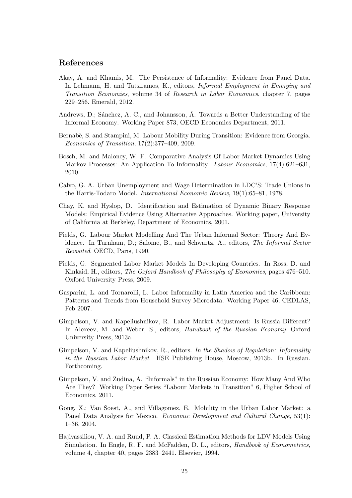#### References

- Akay, A. and Khamis, M. The Persistence of Informality: Evidence from Panel Data. In Lehmann, H. and Tatsiramos, K., editors, Informal Employment in Emerging and Transition Economies, volume 34 of Research in Labor Economics, chapter 7, pages 229–256. Emerald, 2012.
- Andrews, D.; Sanchez, A. C., and Johansson,  $\AA$ . Towards a Better Understanding of the Informal Economy. Working Paper 873, OECD Economics Department, 2011.
- Bernabè, S. and Stampini, M. Labour Mobility During Transition: Evidence from Georgia. Economics of Transition, 17(2):377–409, 2009.
- Bosch, M. and Maloney, W. F. Comparative Analysis Of Labor Market Dynamics Using Markov Processes: An Application To Informality. *Labour Economics*, 17(4):621–631. 2010.
- Calvo, G. A. Urban Unemployment and Wage Determination in LDC'S: Trade Unions in the Harris-Todaro Model. International Economic Review, 19(1):65–81, 1978.
- Chay, K. and Hyslop, D. Identification and Estimation of Dynamic Binary Response Models: Empirical Evidence Using Alternative Approaches. Working paper, University of California at Berkeley, Department of Economics, 2001.
- Fields, G. Labour Market Modelling And The Urban Informal Sector: Theory And Evidence. In Turnham, D.; Salome, B., and Schwartz, A., editors, The Informal Sector Revisited. OECD, Paris, 1990.
- Fields, G. Segmented Labor Market Models In Developing Countries. In Ross, D. and Kinkaid, H., editors, The Oxford Handbook of Philosophy of Economics, pages 476–510. Oxford University Press, 2009.
- Gasparini, L. and Tornarolli, L. Labor Informality in Latin America and the Caribbean: Patterns and Trends from Household Survey Microdata. Working Paper 46, CEDLAS, Feb 2007.
- Gimpelson, V. and Kapeliushnikov, R. Labor Market Adjustment: Is Russia Different? In Alexeev, M. and Weber, S., editors, Handbook of the Russian Economy. Oxford University Press, 2013a.
- Gimpelson, V. and Kapeliushnikov, R., editors. In the Shadow of Regulation: Informality in the Russian Labor Market. HSE Publishing House, Moscow, 2013b. In Russian. Forthcoming.
- Gimpelson, V. and Zudina, A. "Informals" in the Russian Economy: How Many And Who Are They? Working Paper Series "Labour Markets in Transition" 6, Higher School of Economics, 2011.
- Gong, X.; Van Soest, A., and Villagomez, E. Mobility in the Urban Labor Market: a Panel Data Analysis for Mexico. Economic Development and Cultural Change, 53(1): 1–36, 2004.
- Hajivassiliou, V. A. and Ruud, P. A. Classical Estimation Methods for LDV Models Using Simulation. In Engle, R. F. and McFadden, D. L., editors, Handbook of Econometrics, volume 4, chapter 40, pages 2383–2441. Elsevier, 1994.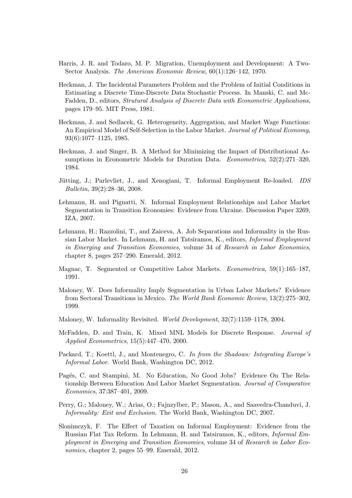- Harris, J. R. and Todaro, M. P. Migration, Unemployment and Development: A Two-Sector Analysis. The American Economic Review, 60(1):126–142, 1970.
- Heckman, J. The Incidental Parameters Problem and the Problem of Initial Conditions in Estimating a Discrete Time-Discrete Data Stochastic Process. In Manski, C. and Mc-Fadden, D., editors, Strutural Analysis of Discrete Data with Econometric Applications, pages 179–95. MIT Press, 1981.
- Heckman, J. and Sedlacek, G. Heterogeneity, Aggregation, and Market Wage Functions: An Empirical Model of Self-Selection in the Labor Market. Journal of Political Economy, 93(6):1077–1125, 1985.
- Heckman, J. and Singer, B. A Method for Minimizing the Impact of Distributional Assumptions in Econometric Models for Duration Data. Econometrica, 52(2):271–320, 1984.
- Jütting, J.; Parlevliet, J., and Xenogiani, T. Informal Employment Re-loaded. *IDS* Bulletin, 39(2):28–36, 2008.
- Lehmann, H. and Pignatti, N. Informal Employment Relationships and Labor Market Segmentation in Transition Economies: Evidence from Ukraine. Discussion Paper 3269, IZA, 2007.
- Lehmann, H.; Razzolini, T., and Zaiceva, A. Job Separations and Informality in the Russian Labor Market. In Lehmann, H. and Tatsiramos, K., editors, Informal Employment in Emerging and Transition Economies, volume 34 of Research in Labor Economics, chapter 8, pages 257–290. Emerald, 2012.
- Magnac, T. Segmented or Competitive Labor Markets. Econometrica, 59(1):165–187, 1991.
- Maloney, W. Does Informality Imply Segmentation in Urban Labor Markets? Evidence from Sectoral Transitions in Mexico. The World Bank Economic Review, 13(2):275–302, 1999.
- Maloney, W. Informality Revisited. World Development, 32(7):1159–1178, 2004.
- McFadden, D. and Train, K. Mixed MNL Models for Discrete Response. Journal of Applied Econometrics, 15(5):447–470, 2000.
- Packard, T.; Koettl, J., and Montenegro, C. In from the Shadows: Integrating Europe's Informal Labor. World Bank, Washington DC, 2012.
- Pagés, C. and Stampini, M. No Education, No Good Jobs? Evidence On The Relationship Between Education And Labor Market Segmentation. Journal of Comparative Economics, 37:387–401, 2009.
- Perry, G.; Maloney, W.; Arias, O.; Fajnzylber, P.; Mason, A., and Saavedra-Chanduvi, J. Informality: Exit and Exclusion. The World Bank, Washington DC, 2007.
- Slonimczyk, F. The Effect of Taxation on Informal Employment: Evidence from the Russian Flat Tax Reform. In Lehmann, H. and Tatsiramos, K., editors, Informal Employment in Emerging and Transition Economies, volume 34 of Research in Labor Economics, chapter 2, pages 55–99. Emerald, 2012.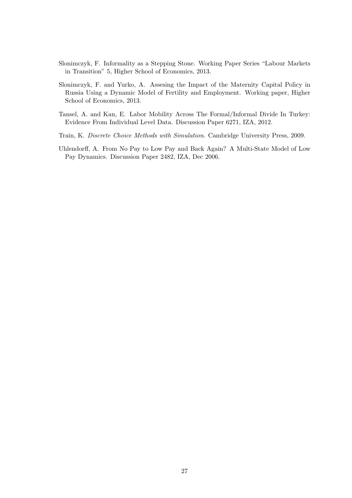- Slonimczyk, F. Informality as a Stepping Stone. Working Paper Series "Labour Markets in Transition" 5, Higher School of Economics, 2013.
- Slonimczyk, F. and Yurko, A. Assesing the Impact of the Maternity Capital Policy in Russia Using a Dynamic Model of Fertility and Employment. Working paper, Higher School of Economics, 2013.
- Tansel, A. and Kan, E. Labor Mobility Across The Formal/Informal Divide In Turkey: Evidence From Individual Level Data. Discussion Paper 6271, IZA, 2012.
- Train, K. Discrete Choice Methods with Simulation. Cambridge University Press, 2009.
- Uhlendorff, A. From No Pay to Low Pay and Back Again? A Multi-State Model of Low Pay Dynamics. Discussion Paper 2482, IZA, Dec 2006.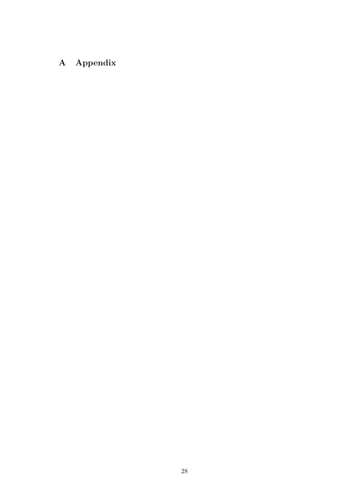# A Appendix